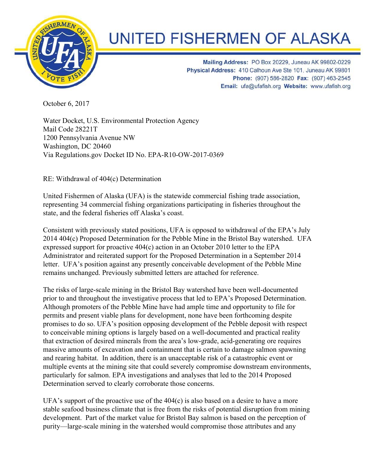

## **UNITED FISHERMEN OF ALASKA**

Mailing Address: PO Box 20229, Juneau AK 99802-0229 Physical Address: 410 Calhoun Ave Ste 101, Juneau AK 99801 Phone: (907) 586-2820 Fax: (907) 463-2545 Email: ufa@ufafish.org Website: www.ufafish.org

October 6, 2017

Water Docket, U.S. Environmental Protection Agency Mail Code 28221T 1200 Pennsylvania Avenue NW Washington, DC 20460 Via Regulations.gov Docket ID No. EPA-R10-OW-2017-0369

RE: Withdrawal of 404(c) Determination

United Fishermen of Alaska (UFA) is the statewide commercial fishing trade association, representing 34 commercial fishing organizations participating in fisheries throughout the state, and the federal fisheries off Alaska's coast.

Consistent with previously stated positions, UFA is opposed to withdrawal of the EPA's July 2014 404(c) Proposed Determination for the Pebble Mine in the Bristol Bay watershed. UFA expressed support for proactive 404(c) action in an October 2010 letter to the EPA Administrator and reiterated support for the Proposed Determination in a September 2014 letter. UFA's position against any presently conceivable development of the Pebble Mine remains unchanged. Previously submitted letters are attached for reference.

The risks of large-scale mining in the Bristol Bay watershed have been well-documented prior to and throughout the investigative process that led to EPA's Proposed Determination. Although promoters of the Pebble Mine have had ample time and opportunity to file for permits and present viable plans for development, none have been forthcoming despite promises to do so. UFA's position opposing development of the Pebble deposit with respect to conceivable mining options is largely based on a well-documented and practical reality that extraction of desired minerals from the area's low-grade, acid-generating ore requires massive amounts of excavation and containment that is certain to damage salmon spawning and rearing habitat. In addition, there is an unacceptable risk of a catastrophic event or multiple events at the mining site that could severely compromise downstream environments, particularly for salmon. EPA investigations and analyses that led to the 2014 Proposed Determination served to clearly corroborate those concerns.

UFA's support of the proactive use of the 404(c) is also based on a desire to have a more stable seafood business climate that is free from the risks of potential disruption from mining development. Part of the market value for Bristol Bay salmon is based on the perception of purity—large-scale mining in the watershed would compromise those attributes and any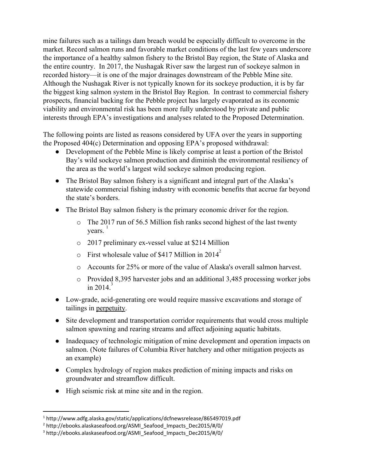mine failures such as a tailings dam breach would be especially difficult to overcome in the market. Record salmon runs and favorable market conditions of the last few years underscore the importance of a healthy salmon fishery to the Bristol Bay region, the State of Alaska and the entire country. In 2017, the Nushagak River saw the largest run of sockeye salmon in recorded history—it is one of the major drainages downstream of the Pebble Mine site. Although the Nushagak River is not typically known for its sockeye production, it is by far the biggest king salmon system in the Bristol Bay Region. In contrast to commercial fishery prospects, financial backing for the Pebble project has largely evaporated as its economic viability and environmental risk has been more fully understood by private and public interests through EPA's investigations and analyses related to the Proposed Determination.

The following points are listed as reasons considered by UFA over the years in supporting the Proposed 404(c) Determination and opposing EPA's proposed withdrawal:

- Development of the Pebble Mine is likely comprise at least a portion of the Bristol Bay's wild sockeye salmon production and diminish the environmental resiliency of the area as the world's largest wild sockeye salmon producing region.
- The Bristol Bay salmon fishery is a significant and integral part of the Alaska's statewide commercial fishing industry with economic benefits that accrue far beyond the state's borders.
- The Bristol Bay salmon fishery is the primary economic driver for the region.
	- o The 2017 run of 56.5 Million fish ranks second highest of the last twenty years. 1
	- o 2017 preliminary ex-vessel value at \$214 Million
	- $\circ$  First wholesale value of \$417 Million in 2014<sup>2</sup>
	- o Accounts for 25% or more of the value of Alaska's overall salmon harvest.
	- o Provided 8,395 harvester jobs and an additional 3,485 processing worker jobs in 2014 $\overline{3}$
- Low-grade, acid-generating ore would require massive excavations and storage of tailings in perpetuity.
- Site development and transportation corridor requirements that would cross multiple salmon spawning and rearing streams and affect adjoining aquatic habitats.
- Inadequacy of technologic mitigation of mine development and operation impacts on salmon. (Note failures of Columbia River hatchery and other mitigation projects as an example)
- Complex hydrology of region makes prediction of mining impacts and risks on groundwater and streamflow difficult.
- High seismic risk at mine site and in the region.

<sup>1</sup> http://www.adfg.alaska.gov/static/applications/dcfnewsrelease/865497019.pdf

<sup>&</sup>lt;sup>2</sup> http://ebooks.alaskaseafood.org/ASMI\_Seafood\_Impacts\_Dec2015/#/0/

<sup>&</sup>lt;sup>3</sup> http://ebooks.alaskaseafood.org/ASMI\_Seafood\_Impacts\_Dec2015/#/0/